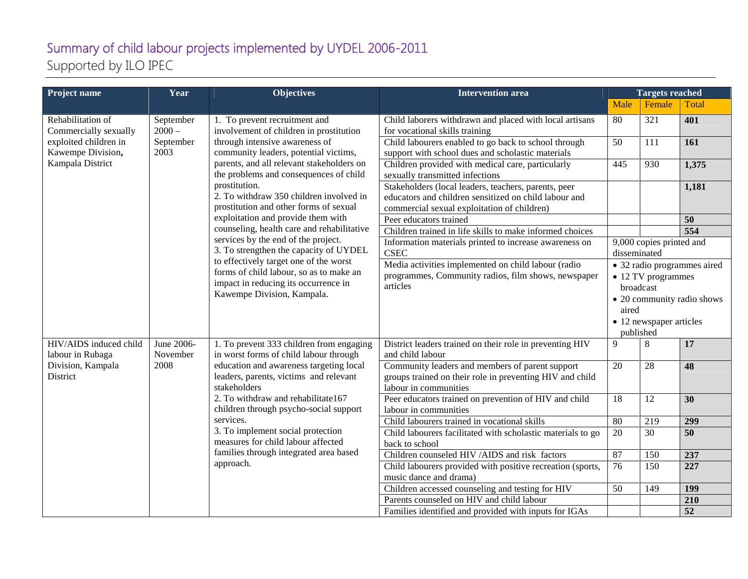## Summary of child labour projects implemented by UYDEL 2006-2011 Supported by ILO IPEC

| Project name                                                                                                 | Year                                       | <b>Objectives</b>                                                                                                                                                                                                                                                                                                                                                                                                                                                                                                                                                                                                                                                                | <b>Intervention area</b>                                                                                                                                     | <b>Targets reached</b>                                                                                                                        |        |                 |
|--------------------------------------------------------------------------------------------------------------|--------------------------------------------|----------------------------------------------------------------------------------------------------------------------------------------------------------------------------------------------------------------------------------------------------------------------------------------------------------------------------------------------------------------------------------------------------------------------------------------------------------------------------------------------------------------------------------------------------------------------------------------------------------------------------------------------------------------------------------|--------------------------------------------------------------------------------------------------------------------------------------------------------------|-----------------------------------------------------------------------------------------------------------------------------------------------|--------|-----------------|
|                                                                                                              |                                            |                                                                                                                                                                                                                                                                                                                                                                                                                                                                                                                                                                                                                                                                                  |                                                                                                                                                              | Male                                                                                                                                          | Female | Total           |
| Rehabilitation of<br>Commercially sexually<br>exploited children in<br>Kawempe Division,<br>Kampala District | September<br>$2000 -$<br>September<br>2003 | 1. To prevent recruitment and<br>involvement of children in prostitution<br>through intensive awareness of<br>community leaders, potential victims,<br>parents, and all relevant stakeholders on<br>the problems and consequences of child<br>prostitution.<br>2. To withdraw 350 children involved in<br>prostitution and other forms of sexual<br>exploitation and provide them with<br>counseling, health care and rehabilitative<br>services by the end of the project.<br>3. To strengthen the capacity of UYDEL<br>to effectively target one of the worst<br>forms of child labour, so as to make an<br>impact in reducing its occurrence in<br>Kawempe Division, Kampala. | Child laborers withdrawn and placed with local artisans<br>for vocational skills training                                                                    | 80                                                                                                                                            | 321    | 401             |
|                                                                                                              |                                            |                                                                                                                                                                                                                                                                                                                                                                                                                                                                                                                                                                                                                                                                                  | Child labourers enabled to go back to school through<br>support with school dues and scholastic materials                                                    | 50                                                                                                                                            | 111    | 161             |
|                                                                                                              |                                            |                                                                                                                                                                                                                                                                                                                                                                                                                                                                                                                                                                                                                                                                                  | Children provided with medical care, particularly<br>sexually transmitted infections                                                                         | 445                                                                                                                                           | 930    | 1,375           |
|                                                                                                              |                                            |                                                                                                                                                                                                                                                                                                                                                                                                                                                                                                                                                                                                                                                                                  | Stakeholders (local leaders, teachers, parents, peer<br>educators and children sensitized on child labour and<br>commercial sexual exploitation of children) |                                                                                                                                               |        | 1,181           |
|                                                                                                              |                                            |                                                                                                                                                                                                                                                                                                                                                                                                                                                                                                                                                                                                                                                                                  | Peer educators trained                                                                                                                                       |                                                                                                                                               |        | 50              |
|                                                                                                              |                                            |                                                                                                                                                                                                                                                                                                                                                                                                                                                                                                                                                                                                                                                                                  | Children trained in life skills to make informed choices                                                                                                     |                                                                                                                                               |        | 554             |
|                                                                                                              |                                            |                                                                                                                                                                                                                                                                                                                                                                                                                                                                                                                                                                                                                                                                                  | Information materials printed to increase awareness on<br><b>CSEC</b>                                                                                        | 9,000 copies printed and<br>disseminated                                                                                                      |        |                 |
|                                                                                                              |                                            |                                                                                                                                                                                                                                                                                                                                                                                                                                                                                                                                                                                                                                                                                  | Media activities implemented on child labour (radio<br>programmes, Community radios, film shows, newspaper<br>articles                                       | • 32 radio programmes aired<br>• 12 TV programmes<br>broadcast<br>• 20 community radio shows<br>aired<br>• 12 newspaper articles<br>published |        |                 |
| HIV/AIDS induced child<br>labour in Rubaga<br>Division, Kampala<br>District                                  | June 2006-<br>November<br>2008             | 1. To prevent 333 children from engaging<br>in worst forms of child labour through<br>education and awareness targeting local<br>leaders, parents, victims and relevant<br>stakeholders<br>2. To withdraw and rehabilitate167<br>children through psycho-social support<br>services.<br>3. To implement social protection<br>measures for child labour affected<br>families through integrated area based<br>approach.                                                                                                                                                                                                                                                           | District leaders trained on their role in preventing HIV<br>and child labour                                                                                 | 9                                                                                                                                             | 8      | 17              |
|                                                                                                              |                                            |                                                                                                                                                                                                                                                                                                                                                                                                                                                                                                                                                                                                                                                                                  | Community leaders and members of parent support<br>groups trained on their role in preventing HIV and child<br>labour in communities                         | 20                                                                                                                                            | 28     | 48              |
|                                                                                                              |                                            |                                                                                                                                                                                                                                                                                                                                                                                                                                                                                                                                                                                                                                                                                  | Peer educators trained on prevention of HIV and child<br>labour in communities                                                                               | 18                                                                                                                                            | 12     | 30              |
|                                                                                                              |                                            |                                                                                                                                                                                                                                                                                                                                                                                                                                                                                                                                                                                                                                                                                  | Child labourers trained in vocational skills                                                                                                                 | 80                                                                                                                                            | 219    | 299             |
|                                                                                                              |                                            |                                                                                                                                                                                                                                                                                                                                                                                                                                                                                                                                                                                                                                                                                  | Child labourers facilitated with scholastic materials to go<br>back to school                                                                                | 20                                                                                                                                            | 30     | $\overline{50}$ |
|                                                                                                              |                                            |                                                                                                                                                                                                                                                                                                                                                                                                                                                                                                                                                                                                                                                                                  | Children counseled HIV /AIDS and risk factors                                                                                                                | 87                                                                                                                                            | 150    | 237             |
|                                                                                                              |                                            |                                                                                                                                                                                                                                                                                                                                                                                                                                                                                                                                                                                                                                                                                  | Child labourers provided with positive recreation (sports,<br>music dance and drama)                                                                         | $\overline{76}$                                                                                                                               | 150    | 227             |
|                                                                                                              |                                            |                                                                                                                                                                                                                                                                                                                                                                                                                                                                                                                                                                                                                                                                                  | Children accessed counseling and testing for HIV                                                                                                             | 50                                                                                                                                            | 149    | 199             |
|                                                                                                              |                                            |                                                                                                                                                                                                                                                                                                                                                                                                                                                                                                                                                                                                                                                                                  | Parents counseled on HIV and child labour                                                                                                                    |                                                                                                                                               |        | 210             |
|                                                                                                              |                                            |                                                                                                                                                                                                                                                                                                                                                                                                                                                                                                                                                                                                                                                                                  | Families identified and provided with inputs for IGAs                                                                                                        |                                                                                                                                               |        | $\overline{52}$ |